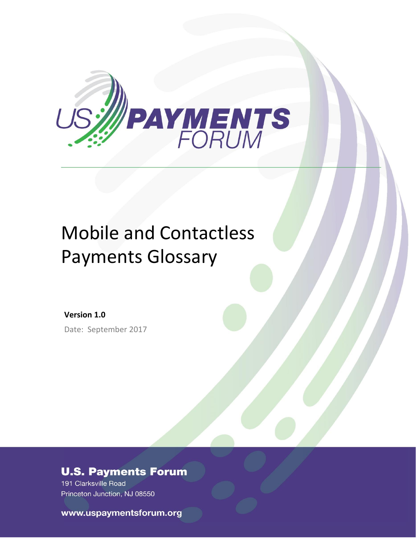

# Mobile and Contactless Payments Glossary

**Version 1.0** Date: September 2017

### **U.S. Payments Forum**

191 Clarksville Road Princeton Junction, NJ 08550

www.uspaymentsforum.org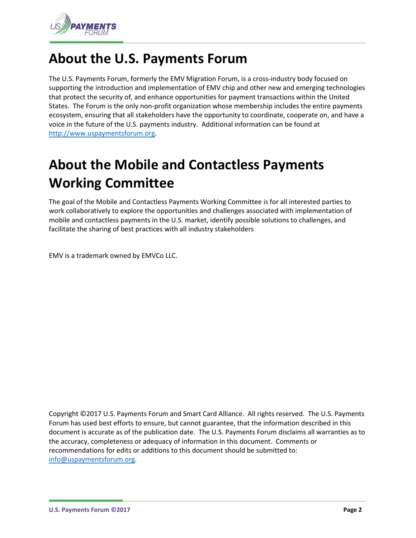

# **About the U.S. Payments Forum**

The U.S. Payments Forum, formerly the EMV Migration Forum, is a cross-industry body focused on supporting the introduction and implementation of EMV chip and other new and emerging technologies that protect the security of, and enhance opportunities for payment transactions within the United States. The Forum is the only non-profit organization whose membership includes the entire payments ecosystem, ensuring that all stakeholders have the opportunity to coordinate, cooperate on, and have a voice in the future of the U.S. payments industry. Additional information can be found at [http://www.uspaymentsforum.org.](http://www.uspaymentsforum.org/)

# **About the Mobile and Contactless Payments Working Committee**

The goal of the Mobile and Contactless Payments Working Committee is for all interested parties to work collaboratively to explore the opportunities and challenges associated with implementation of mobile and contactless payments in the U.S. market, identify possible solutions to challenges, and facilitate the sharing of best practices with all industry stakeholders

EMV is a trademark owned by EMVCo LLC.

Copyright ©2017 U.S. Payments Forum and Smart Card Alliance. All rights reserved. The U.S. Payments Forum has used best efforts to ensure, but cannot guarantee, that the information described in this document is accurate as of the publication date. The U.S. Payments Forum disclaims all warranties as to the accuracy, completeness or adequacy of information in this document. Comments or recommendations for edits or additions to this document should be submitted to: [info@uspaymentsforum.org.](mailto:info@uspaymentsforum.org)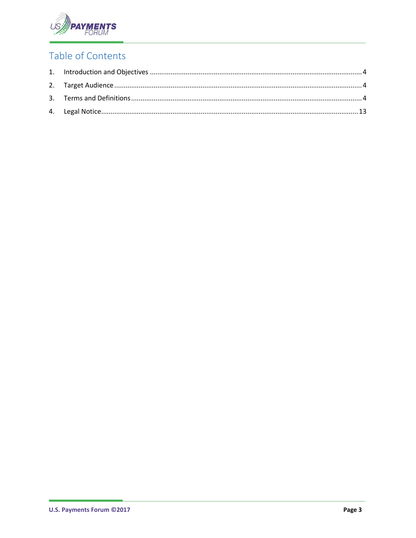

# Table of Contents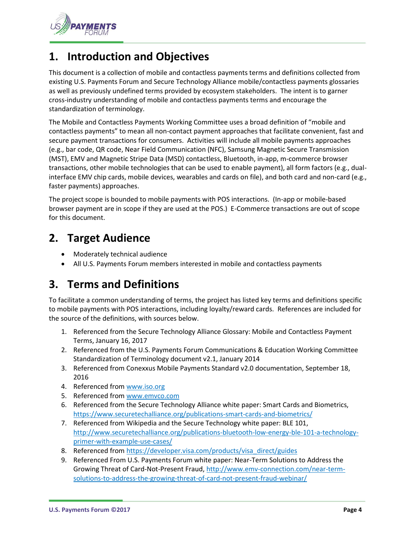

### <span id="page-3-0"></span>**1. Introduction and Objectives**

This document is a collection of mobile and contactless payments terms and definitions collected from existing U.S. Payments Forum and Secure Technology Alliance mobile/contactless payments glossaries as well as previously undefined terms provided by ecosystem stakeholders. The intent is to garner cross-industry understanding of mobile and contactless payments terms and encourage the standardization of terminology.

The Mobile and Contactless Payments Working Committee uses a broad definition of "mobile and contactless payments" to mean all non-contact payment approaches that facilitate convenient, fast and secure payment transactions for consumers. Activities will include all mobile payments approaches (e.g., bar code, QR code, Near Field Communication (NFC), Samsung Magnetic Secure Transmission (MST), EMV and Magnetic Stripe Data (MSD) contactless, Bluetooth, in-app, m-commerce browser transactions, other mobile technologies that can be used to enable payment), all form factors (e.g., dualinterface EMV chip cards, mobile devices, wearables and cards on file), and both card and non-card (e.g., faster payments) approaches.

The project scope is bounded to mobile payments with POS interactions. (In-app or mobile-based browser payment are in scope if they are used at the POS.) E-Commerce transactions are out of scope for this document.

### <span id="page-3-1"></span>**2. Target Audience**

- Moderately technical audience
- All U.S. Payments Forum members interested in mobile and contactless payments

## <span id="page-3-2"></span>**3. Terms and Definitions**

To facilitate a common understanding of terms, the project has listed key terms and definitions specific to mobile payments with POS interactions, including loyalty/reward cards. References are included for the source of the definitions, with sources below.

- 1. Referenced from the Secure Technology Alliance Glossary: Mobile and Contactless Payment Terms, January 16, 2017
- 2. Referenced from the U.S. Payments Forum Communications & Education Working Committee Standardization of Terminology document v2.1, January 2014
- 3. Referenced from Conexxus Mobile Payments Standard v2.0 documentation, September 18, 2016
- 4. Referenced from [www.iso.org](http://www.iso.org/)
- 5. Referenced from [www.emvco.com](http://www.emvco.com/)
- 6. Referenced from the Secure Technology Alliance white paper: Smart Cards and Biometrics, https://www.securetechalliance.org/publications-smart-cards-and-biometrics/
- 7. Referenced from Wikipedia and the Secure Technology white paper: BLE 101, http://www.securetechalliance.org/publications-bluetooth-low-energy-ble-101-a-technologyprimer-with-example-use-cases/
- 8. Referenced from https://developer.visa.com/products/visa\_direct/guides
- 9. Referenced From U.S. Payments Forum white paper: Near-Term Solutions to Address the Growing Threat of Card-Not-Present Fraud[, http://www.emv-connection.com/near-term](http://www.emv-connection.com/near-term-solutions-to-address-the-growing-threat-of-card-not-present-fraud-webinar/)[solutions-to-address-the-growing-threat-of-card-not-present-fraud-webinar/](http://www.emv-connection.com/near-term-solutions-to-address-the-growing-threat-of-card-not-present-fraud-webinar/)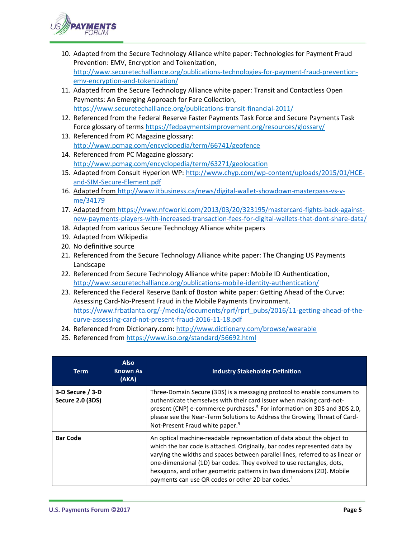

- 10. Adapted from the Secure Technology Alliance white paper: Technologies for Payment Fraud Prevention: EMV, Encryption and Tokenization, [http://www.securetechalliance.org/publications-technologies-for-payment-fraud-prevention](http://www.securetechalliance.org/publications-technologies-for-payment-fraud-prevention-emv-encryption-and-tokenization/)[emv-encryption-and-tokenization/](http://www.securetechalliance.org/publications-technologies-for-payment-fraud-prevention-emv-encryption-and-tokenization/)
- 11. Adapted from the Secure Technology Alliance white paper: Transit and Contactless Open Payments: An Emerging Approach for Fare Collection, <https://www.securetechalliance.org/publications-transit-financial-2011/>
- 12. Referenced from the Federal Reserve Faster Payments Task Force and Secure Payments Task Force glossary of terms<https://fedpaymentsimprovement.org/resources/glossary/>
- 13. Referenced from PC Magazine glossary: <http://www.pcmag.com/encyclopedia/term/66741/geofence>
- 14. Referenced from PC Magazine glossary: <http://www.pcmag.com/encyclopedia/term/63271/geolocation>
- 15. Adapted from Consult Hyperion WP[: http://www.chyp.com/wp-content/uploads/2015/01/HCE](http://www.chyp.com/wp-content/uploads/2015/01/HCE-and-SIM-Secure-Element.pdf)[and-SIM-Secure-Element.pdf](http://www.chyp.com/wp-content/uploads/2015/01/HCE-and-SIM-Secure-Element.pdf)
- 16. Adapted from [http://www.itbusiness.ca/news/digital-wallet-showdown-masterpass-vs-v](http://www.itbusiness.ca/news/digital-wallet-showdown-masterpass-vs-v-me/34179)[me/34179](http://www.itbusiness.ca/news/digital-wallet-showdown-masterpass-vs-v-me/34179)
- 17. Adapted from [https://www.nfcworld.com/2013/03/20/323195/mastercard-fights-back-against](https://www.nfcworld.com/2013/03/20/323195/mastercard-fights-back-against-new-payments-players-with-increased-transaction-fees-for-digital-wallets-that-dont-share-data/)[new-payments-players-with-increased-transaction-fees-for-digital-wallets-that-dont-share-data/](https://www.nfcworld.com/2013/03/20/323195/mastercard-fights-back-against-new-payments-players-with-increased-transaction-fees-for-digital-wallets-that-dont-share-data/)
- 18. Adapted from various Secure Technology Alliance white papers
- 19. Adapted from Wikipedia
- 20. No definitive source
- 21. Referenced from the Secure Technology Alliance white paper: The Changing US Payments Landscape
- 22. Referenced from Secure Technology Alliance white paper: Mobile ID Authentication, <http://www.securetechalliance.org/publications-mobile-identity-authentication/>
- 23. Referenced the Federal Reserve Bank of Boston white paper: Getting Ahead of the Curve: Assessing Card-No-Present Fraud in the Mobile Payments Environment. [https://www.frbatlanta.org/-/media/documents/rprf/rprf\\_pubs/2016/11-getting-ahead-of-the](https://www.frbatlanta.org/-/media/documents/rprf/rprf_pubs/2016/11-getting-ahead-of-the-curve-assessing-card-not-present-fraud-2016-11-18.pdf)[curve-assessing-card-not-present-fraud-2016-11-18.pdf](https://www.frbatlanta.org/-/media/documents/rprf/rprf_pubs/2016/11-getting-ahead-of-the-curve-assessing-card-not-present-fraud-2016-11-18.pdf)
- 24. Referenced from Dictionary.com:<http://www.dictionary.com/browse/wearable>
- 25. Referenced from<https://www.iso.org/standard/56692.html>

| <b>Term</b>                                 | <b>Also</b><br><b>Known As</b><br>(AKA) | <b>Industry Stakeholder Definition</b>                                                                                                                                                                                                                                                                                                                                                                                                                   |
|---------------------------------------------|-----------------------------------------|----------------------------------------------------------------------------------------------------------------------------------------------------------------------------------------------------------------------------------------------------------------------------------------------------------------------------------------------------------------------------------------------------------------------------------------------------------|
| 3-D Secure / 3-D<br><b>Secure 2.0 (3DS)</b> |                                         | Three-Domain Secure (3DS) is a messaging protocol to enable consumers to<br>authenticate themselves with their card issuer when making card-not-<br>present (CNP) e-commerce purchases. <sup>5</sup> For information on 3DS and 3DS 2.0,<br>please see the Near-Term Solutions to Address the Growing Threat of Card-<br>Not-Present Fraud white paper. <sup>9</sup>                                                                                     |
| <b>Bar Code</b>                             |                                         | An optical machine-readable representation of data about the object to<br>which the bar code is attached. Originally, bar codes represented data by<br>varying the widths and spaces between parallel lines, referred to as linear or<br>one-dimensional (1D) bar codes. They evolved to use rectangles, dots,<br>hexagons, and other geometric patterns in two dimensions (2D). Mobile<br>payments can use QR codes or other 2D bar codes. <sup>1</sup> |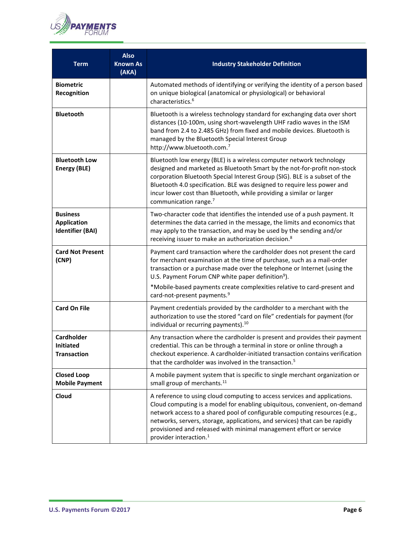

| <b>Term</b>                                                      | <b>Also</b><br><b>Known As</b><br>(AKA) | <b>Industry Stakeholder Definition</b>                                                                                                                                                                                                                                                                                                                                                                                          |
|------------------------------------------------------------------|-----------------------------------------|---------------------------------------------------------------------------------------------------------------------------------------------------------------------------------------------------------------------------------------------------------------------------------------------------------------------------------------------------------------------------------------------------------------------------------|
| <b>Biometric</b><br>Recognition                                  |                                         | Automated methods of identifying or verifying the identity of a person based<br>on unique biological (anatomical or physiological) or behavioral<br>characteristics. <sup>6</sup>                                                                                                                                                                                                                                               |
| <b>Bluetooth</b>                                                 |                                         | Bluetooth is a wireless technology standard for exchanging data over short<br>distances (10-100m, using short-wavelength UHF radio waves in the ISM<br>band from 2.4 to 2.485 GHz) from fixed and mobile devices. Bluetooth is<br>managed by the Bluetooth Special Interest Group<br>http://www.bluetooth.com.7                                                                                                                 |
| <b>Bluetooth Low</b><br><b>Energy (BLE)</b>                      |                                         | Bluetooth low energy (BLE) is a wireless computer network technology<br>designed and marketed as Bluetooth Smart by the not-for-profit non-stock<br>corporation Bluetooth Special Interest Group (SIG). BLE is a subset of the<br>Bluetooth 4.0 specification. BLE was designed to require less power and<br>incur lower cost than Bluetooth, while providing a similar or larger<br>communication range. <sup>7</sup>          |
| <b>Business</b><br><b>Application</b><br><b>Identifier (BAI)</b> |                                         | Two-character code that identifies the intended use of a push payment. It<br>determines the data carried in the message, the limits and economics that<br>may apply to the transaction, and may be used by the sending and/or<br>receiving issuer to make an authorization decision. <sup>8</sup>                                                                                                                               |
| <b>Card Not Present</b><br>(CNP)                                 |                                         | Payment card transaction where the cardholder does not present the card<br>for merchant examination at the time of purchase, such as a mail-order<br>transaction or a purchase made over the telephone or Internet (using the<br>U.S. Payment Forum CNP white paper definition <sup>9</sup> ).<br>*Mobile-based payments create complexities relative to card-present and<br>card-not-present payments. <sup>9</sup>            |
| <b>Card On File</b>                                              |                                         | Payment credentials provided by the cardholder to a merchant with the<br>authorization to use the stored "card on file" credentials for payment (for<br>individual or recurring payments). <sup>10</sup>                                                                                                                                                                                                                        |
| Cardholder<br><b>Initiated</b><br><b>Transaction</b>             |                                         | Any transaction where the cardholder is present and provides their payment<br>credential. This can be through a terminal in store or online through a<br>checkout experience. A cardholder-initiated transaction contains verification<br>that the cardholder was involved in the transaction. <sup>5</sup>                                                                                                                     |
| <b>Closed Loop</b><br><b>Mobile Payment</b>                      |                                         | A mobile payment system that is specific to single merchant organization or<br>small group of merchants. <sup>11</sup>                                                                                                                                                                                                                                                                                                          |
| Cloud                                                            |                                         | A reference to using cloud computing to access services and applications.<br>Cloud computing is a model for enabling ubiquitous, convenient, on-demand<br>network access to a shared pool of configurable computing resources (e.g.,<br>networks, servers, storage, applications, and services) that can be rapidly<br>provisioned and released with minimal management effort or service<br>provider interaction. <sup>1</sup> |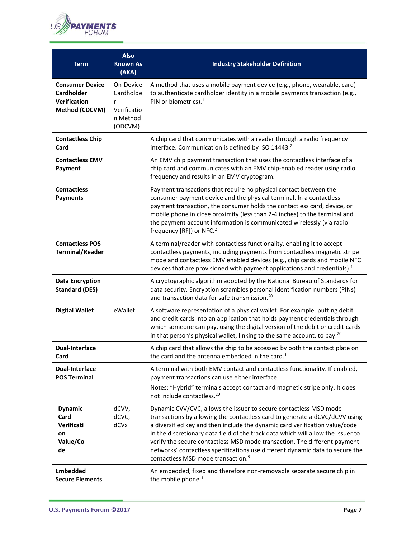

| <b>Term</b>                                                                          | <b>Also</b><br><b>Known As</b><br>(AKA)                      | <b>Industry Stakeholder Definition</b>                                                                                                                                                                                                                                                                                                                                                                                                                                                                                              |
|--------------------------------------------------------------------------------------|--------------------------------------------------------------|-------------------------------------------------------------------------------------------------------------------------------------------------------------------------------------------------------------------------------------------------------------------------------------------------------------------------------------------------------------------------------------------------------------------------------------------------------------------------------------------------------------------------------------|
| <b>Consumer Device</b><br><b>Cardholder</b><br><b>Verification</b><br>Method (CDCVM) | On-Device<br>Cardholde<br>Verificatio<br>n Method<br>(ODCVM) | A method that uses a mobile payment device (e.g., phone, wearable, card)<br>to authenticate cardholder identity in a mobile payments transaction (e.g.,<br>PIN or biometrics). <sup>1</sup>                                                                                                                                                                                                                                                                                                                                         |
| <b>Contactless Chip</b><br>Card                                                      |                                                              | A chip card that communicates with a reader through a radio frequency<br>interface. Communication is defined by ISO 14443. <sup>2</sup>                                                                                                                                                                                                                                                                                                                                                                                             |
| <b>Contactless EMV</b><br>Payment                                                    |                                                              | An EMV chip payment transaction that uses the contactless interface of a<br>chip card and communicates with an EMV chip-enabled reader using radio<br>frequency and results in an EMV cryptogram. <sup>1</sup>                                                                                                                                                                                                                                                                                                                      |
| <b>Contactless</b><br><b>Payments</b>                                                |                                                              | Payment transactions that require no physical contact between the<br>consumer payment device and the physical terminal. In a contactless<br>payment transaction, the consumer holds the contactless card, device, or<br>mobile phone in close proximity (less than 2-4 inches) to the terminal and<br>the payment account information is communicated wirelessly (via radio<br>frequency [RF]) or NFC. <sup>2</sup>                                                                                                                 |
| <b>Contactless POS</b><br><b>Terminal/Reader</b>                                     |                                                              | A terminal/reader with contactless functionality, enabling it to accept<br>contactless payments, including payments from contactless magnetic stripe<br>mode and contactless EMV enabled devices (e.g., chip cards and mobile NFC<br>devices that are provisioned with payment applications and credentials). $1$                                                                                                                                                                                                                   |
| <b>Data Encryption</b><br><b>Standard (DES)</b>                                      |                                                              | A cryptographic algorithm adopted by the National Bureau of Standards for<br>data security. Encryption scrambles personal identification numbers (PINs)<br>and transaction data for safe transmission. <sup>20</sup>                                                                                                                                                                                                                                                                                                                |
| <b>Digital Wallet</b>                                                                | eWallet                                                      | A software representation of a physical wallet. For example, putting debit<br>and credit cards into an application that holds payment credentials through<br>which someone can pay, using the digital version of the debit or credit cards<br>in that person's physical wallet, linking to the same account, to pay. <sup>20</sup>                                                                                                                                                                                                  |
| <b>Dual-Interface</b><br>Card                                                        |                                                              | A chip card that allows the chip to be accessed by both the contact plate on<br>the card and the antenna embedded in the card. <sup>1</sup>                                                                                                                                                                                                                                                                                                                                                                                         |
| <b>Dual-Interface</b><br><b>POS Terminal</b>                                         |                                                              | A terminal with both EMV contact and contactless functionality. If enabled,<br>payment transactions can use either interface.<br>Notes: "Hybrid" terminals accept contact and magnetic stripe only. It does<br>not include contactless. <sup>20</sup>                                                                                                                                                                                                                                                                               |
| <b>Dynamic</b><br>Card<br>Verificati<br>on<br>Value/Co<br>de                         | dCVV,<br>dCVC,<br>dCVx                                       | Dynamic CVV/CVC, allows the issuer to secure contactless MSD mode<br>transactions by allowing the contactless card to generate a dCVC/dCVV using<br>a diversified key and then include the dynamic card verification value/code<br>in the discretionary data field of the track data which will allow the issuer to<br>verify the secure contactless MSD mode transaction. The different payment<br>networks' contactless specifications use different dynamic data to secure the<br>contactless MSD mode transaction. <sup>9</sup> |
| <b>Embedded</b><br><b>Secure Elements</b>                                            |                                                              | An embedded, fixed and therefore non-removable separate secure chip in<br>the mobile phone. <sup>1</sup>                                                                                                                                                                                                                                                                                                                                                                                                                            |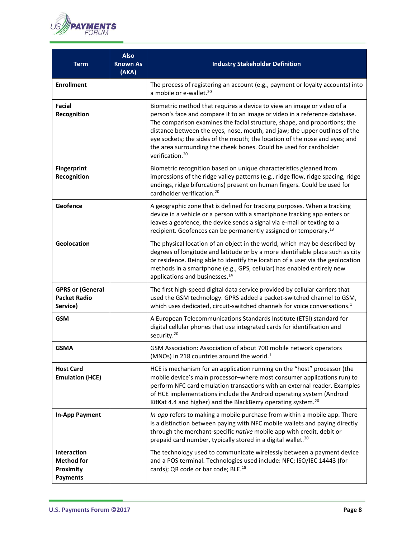

| <b>Term</b>                                                      | <b>Also</b><br><b>Known As</b><br>(AKA) | <b>Industry Stakeholder Definition</b>                                                                                                                                                                                                                                                                                                                                                                                                                                                              |
|------------------------------------------------------------------|-----------------------------------------|-----------------------------------------------------------------------------------------------------------------------------------------------------------------------------------------------------------------------------------------------------------------------------------------------------------------------------------------------------------------------------------------------------------------------------------------------------------------------------------------------------|
| <b>Enrollment</b>                                                |                                         | The process of registering an account (e.g., payment or loyalty accounts) into<br>a mobile or e-wallet. <sup>20</sup>                                                                                                                                                                                                                                                                                                                                                                               |
| Facial<br>Recognition                                            |                                         | Biometric method that requires a device to view an image or video of a<br>person's face and compare it to an image or video in a reference database.<br>The comparison examines the facial structure, shape, and proportions; the<br>distance between the eyes, nose, mouth, and jaw; the upper outlines of the<br>eye sockets; the sides of the mouth; the location of the nose and eyes; and<br>the area surrounding the cheek bones. Could be used for cardholder<br>verification. <sup>20</sup> |
| <b>Fingerprint</b><br>Recognition                                |                                         | Biometric recognition based on unique characteristics gleaned from<br>impressions of the ridge valley patterns (e.g., ridge flow, ridge spacing, ridge<br>endings, ridge bifurcations) present on human fingers. Could be used for<br>cardholder verification. <sup>20</sup>                                                                                                                                                                                                                        |
| Geofence                                                         |                                         | A geographic zone that is defined for tracking purposes. When a tracking<br>device in a vehicle or a person with a smartphone tracking app enters or<br>leaves a geofence, the device sends a signal via e-mail or texting to a<br>recipient. Geofences can be permanently assigned or temporary. <sup>13</sup>                                                                                                                                                                                     |
| Geolocation                                                      |                                         | The physical location of an object in the world, which may be described by<br>degrees of longitude and latitude or by a more identifiable place such as city<br>or residence. Being able to identify the location of a user via the geolocation<br>methods in a smartphone (e.g., GPS, cellular) has enabled entirely new<br>applications and businesses. <sup>14</sup>                                                                                                                             |
| <b>GPRS or (General</b><br><b>Packet Radio</b><br>Service)       |                                         | The first high-speed digital data service provided by cellular carriers that<br>used the GSM technology. GPRS added a packet-switched channel to GSM,<br>which uses dedicated, circuit-switched channels for voice conversations. <sup>1</sup>                                                                                                                                                                                                                                                      |
| <b>GSM</b>                                                       |                                         | A European Telecommunications Standards Institute (ETSI) standard for<br>digital cellular phones that use integrated cards for identification and<br>security. <sup>20</sup>                                                                                                                                                                                                                                                                                                                        |
| <b>GSMA</b>                                                      |                                         | GSM Association: Association of about 700 mobile network operators<br>(MNOs) in 218 countries around the world. $1$                                                                                                                                                                                                                                                                                                                                                                                 |
| <b>Host Card</b><br><b>Emulation (HCE)</b>                       |                                         | HCE is mechanism for an application running on the "host" processor (the<br>mobile device's main processor-where most consumer applications run) to<br>perform NFC card emulation transactions with an external reader. Examples<br>of HCE implementations include the Android operating system (Android<br>KitKat 4.4 and higher) and the BlackBerry operating system. <sup>20</sup>                                                                                                               |
| <b>In-App Payment</b>                                            |                                         | In-app refers to making a mobile purchase from within a mobile app. There<br>is a distinction between paying with NFC mobile wallets and paying directly<br>through the merchant-specific native mobile app with credit, debit or<br>prepaid card number, typically stored in a digital wallet. <sup>20</sup>                                                                                                                                                                                       |
| Interaction<br><b>Method for</b><br>Proximity<br><b>Payments</b> |                                         | The technology used to communicate wirelessly between a payment device<br>and a POS terminal. Technologies used include: NFC; ISO/IEC 14443 (for<br>cards); QR code or bar code; BLE. <sup>18</sup>                                                                                                                                                                                                                                                                                                 |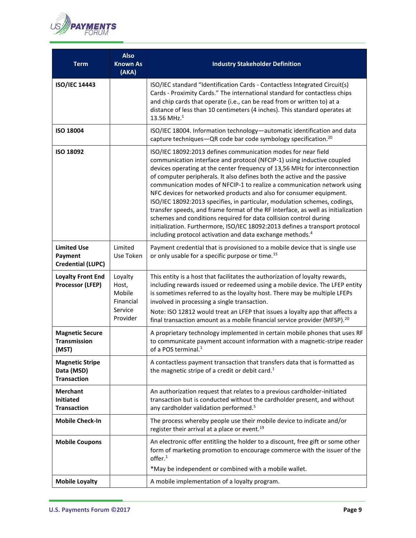

| <b>Term</b>                                                | <b>Also</b><br><b>Known As</b><br>(AKA)                        | <b>Industry Stakeholder Definition</b>                                                                                                                                                                                                                                                                                                                                                                                                                                                                                                                                                                                                                                                                                                                                                                                                             |
|------------------------------------------------------------|----------------------------------------------------------------|----------------------------------------------------------------------------------------------------------------------------------------------------------------------------------------------------------------------------------------------------------------------------------------------------------------------------------------------------------------------------------------------------------------------------------------------------------------------------------------------------------------------------------------------------------------------------------------------------------------------------------------------------------------------------------------------------------------------------------------------------------------------------------------------------------------------------------------------------|
| <b>ISO/IEC 14443</b>                                       |                                                                | ISO/IEC standard "Identification Cards - Contactless Integrated Circuit(s)<br>Cards - Proximity Cards." The international standard for contactless chips<br>and chip cards that operate (i.e., can be read from or written to) at a<br>distance of less than 10 centimeters (4 inches). This standard operates at<br>13.56 MHz. $1$                                                                                                                                                                                                                                                                                                                                                                                                                                                                                                                |
| <b>ISO 18004</b>                                           |                                                                | ISO/IEC 18004. Information technology-automatic identification and data<br>capture techniques-QR code bar code symbology specification. <sup>20</sup>                                                                                                                                                                                                                                                                                                                                                                                                                                                                                                                                                                                                                                                                                              |
| ISO 18092                                                  |                                                                | ISO/IEC 18092:2013 defines communication modes for near field<br>communication interface and protocol (NFCIP-1) using inductive coupled<br>devices operating at the center frequency of 13,56 MHz for interconnection<br>of computer peripherals. It also defines both the active and the passive<br>communication modes of NFCIP-1 to realize a communication network using<br>NFC devices for networked products and also for consumer equipment.<br>ISO/IEC 18092:2013 specifies, in particular, modulation schemes, codings,<br>transfer speeds, and frame format of the RF interface, as well as initialization<br>schemes and conditions required for data collision control during<br>initialization. Furthermore, ISO/IEC 18092:2013 defines a transport protocol<br>including protocol activation and data exchange methods. <sup>4</sup> |
| <b>Limited Use</b><br>Payment<br><b>Credential (LUPC)</b>  | Limited<br>Use Token                                           | Payment credential that is provisioned to a mobile device that is single use<br>or only usable for a specific purpose or time. <sup>15</sup>                                                                                                                                                                                                                                                                                                                                                                                                                                                                                                                                                                                                                                                                                                       |
| <b>Loyalty Front End</b><br>Processor (LFEP)               | Loyalty<br>Host,<br>Mobile<br>Financial<br>Service<br>Provider | This entity is a host that facilitates the authorization of loyalty rewards,<br>including rewards issued or redeemed using a mobile device. The LFEP entity<br>is sometimes referred to as the loyalty host. There may be multiple LFEPs<br>involved in processing a single transaction.<br>Note: ISO 12812 would treat an LFEP that issues a loyalty app that affects a<br>final transaction amount as a mobile financial service provider (MFSP). <sup>20</sup>                                                                                                                                                                                                                                                                                                                                                                                  |
| <b>Magnetic Secure</b><br><b>Transmission</b><br>(MST)     |                                                                | A proprietary technology implemented in certain mobile phones that uses RF<br>to communicate payment account information with a magnetic-stripe reader<br>of a POS terminal. <sup>1</sup>                                                                                                                                                                                                                                                                                                                                                                                                                                                                                                                                                                                                                                                          |
| <b>Magnetic Stripe</b><br>Data (MSD)<br><b>Transaction</b> |                                                                | A contactless payment transaction that transfers data that is formatted as<br>the magnetic stripe of a credit or debit card. <sup>1</sup>                                                                                                                                                                                                                                                                                                                                                                                                                                                                                                                                                                                                                                                                                                          |
| <b>Merchant</b><br><b>Initiated</b><br><b>Transaction</b>  |                                                                | An authorization request that relates to a previous cardholder-initiated<br>transaction but is conducted without the cardholder present, and without<br>any cardholder validation performed. <sup>5</sup>                                                                                                                                                                                                                                                                                                                                                                                                                                                                                                                                                                                                                                          |
| <b>Mobile Check-In</b>                                     |                                                                | The process whereby people use their mobile device to indicate and/or<br>register their arrival at a place or event. <sup>19</sup>                                                                                                                                                                                                                                                                                                                                                                                                                                                                                                                                                                                                                                                                                                                 |
| <b>Mobile Coupons</b>                                      |                                                                | An electronic offer entitling the holder to a discount, free gift or some other<br>form of marketing promotion to encourage commerce with the issuer of the<br>offer. <sup>1</sup><br>*May be independent or combined with a mobile wallet.                                                                                                                                                                                                                                                                                                                                                                                                                                                                                                                                                                                                        |
| <b>Mobile Loyalty</b>                                      |                                                                | A mobile implementation of a loyalty program.                                                                                                                                                                                                                                                                                                                                                                                                                                                                                                                                                                                                                                                                                                                                                                                                      |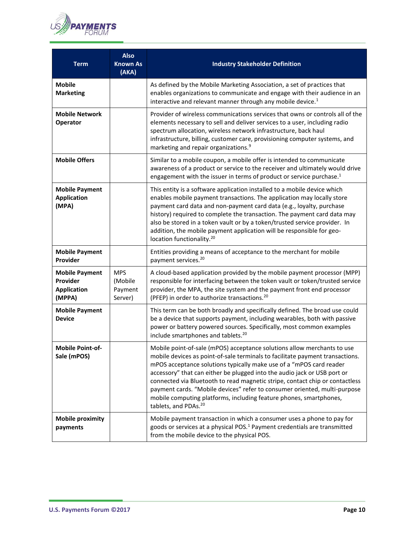

| <b>Term</b>                                                       | <b>Also</b><br><b>Known As</b><br>(AKA)     | <b>Industry Stakeholder Definition</b>                                                                                                                                                                                                                                                                                                                                                                                                                                                                                                                                             |
|-------------------------------------------------------------------|---------------------------------------------|------------------------------------------------------------------------------------------------------------------------------------------------------------------------------------------------------------------------------------------------------------------------------------------------------------------------------------------------------------------------------------------------------------------------------------------------------------------------------------------------------------------------------------------------------------------------------------|
| <b>Mobile</b><br><b>Marketing</b>                                 |                                             | As defined by the Mobile Marketing Association, a set of practices that<br>enables organizations to communicate and engage with their audience in an<br>interactive and relevant manner through any mobile device. <sup>1</sup>                                                                                                                                                                                                                                                                                                                                                    |
| <b>Mobile Network</b><br>Operator                                 |                                             | Provider of wireless communications services that owns or controls all of the<br>elements necessary to sell and deliver services to a user, including radio<br>spectrum allocation, wireless network infrastructure, back haul<br>infrastructure, billing, customer care, provisioning computer systems, and<br>marketing and repair organizations. <sup>9</sup>                                                                                                                                                                                                                   |
| <b>Mobile Offers</b>                                              |                                             | Similar to a mobile coupon, a mobile offer is intended to communicate<br>awareness of a product or service to the receiver and ultimately would drive<br>engagement with the issuer in terms of product or service purchase. <sup>1</sup>                                                                                                                                                                                                                                                                                                                                          |
| <b>Mobile Payment</b><br><b>Application</b><br>(MPA)              |                                             | This entity is a software application installed to a mobile device which<br>enables mobile payment transactions. The application may locally store<br>payment card data and non-payment card data (e.g., loyalty, purchase<br>history) required to complete the transaction. The payment card data may<br>also be stored in a token vault or by a token/trusted service provider. In<br>addition, the mobile payment application will be responsible for geo-<br>location functionality. <sup>20</sup>                                                                             |
| <b>Mobile Payment</b><br>Provider                                 |                                             | Entities providing a means of acceptance to the merchant for mobile<br>payment services. <sup>20</sup>                                                                                                                                                                                                                                                                                                                                                                                                                                                                             |
| <b>Mobile Payment</b><br>Provider<br><b>Application</b><br>(MPPA) | <b>MPS</b><br>(Mobile<br>Payment<br>Server) | A cloud-based application provided by the mobile payment processor (MPP)<br>responsible for interfacing between the token vault or token/trusted service<br>provider, the MPA, the site system and the payment front end processor<br>(PFEP) in order to authorize transactions. <sup>20</sup>                                                                                                                                                                                                                                                                                     |
| <b>Mobile Payment</b><br><b>Device</b>                            |                                             | This term can be both broadly and specifically defined. The broad use could<br>be a device that supports payment, including wearables, both with passive<br>power or battery powered sources. Specifically, most common examples<br>include smartphones and tablets. <sup>20</sup>                                                                                                                                                                                                                                                                                                 |
| <b>Mobile Point-of-</b><br>Sale (mPOS)                            |                                             | Mobile point-of-sale (mPOS) acceptance solutions allow merchants to use<br>mobile devices as point-of-sale terminals to facilitate payment transactions.<br>mPOS acceptance solutions typically make use of a "mPOS card reader<br>accessory" that can either be plugged into the audio jack or USB port or<br>connected via Bluetooth to read magnetic stripe, contact chip or contactless<br>payment cards. "Mobile devices" refer to consumer oriented, multi-purpose<br>mobile computing platforms, including feature phones, smartphones,<br>tablets, and PDAs. <sup>20</sup> |
| <b>Mobile proximity</b><br>payments                               |                                             | Mobile payment transaction in which a consumer uses a phone to pay for<br>goods or services at a physical POS. <sup>1</sup> Payment credentials are transmitted<br>from the mobile device to the physical POS.                                                                                                                                                                                                                                                                                                                                                                     |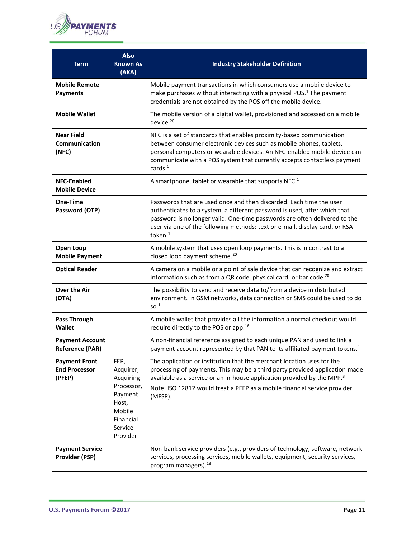

| <b>Term</b>                                            | <b>Also</b><br><b>Known As</b><br>(AKA)                                                                        | <b>Industry Stakeholder Definition</b>                                                                                                                                                                                                                                                                                               |
|--------------------------------------------------------|----------------------------------------------------------------------------------------------------------------|--------------------------------------------------------------------------------------------------------------------------------------------------------------------------------------------------------------------------------------------------------------------------------------------------------------------------------------|
| <b>Mobile Remote</b><br><b>Payments</b>                |                                                                                                                | Mobile payment transactions in which consumers use a mobile device to<br>make purchases without interacting with a physical POS. <sup>1</sup> The payment<br>credentials are not obtained by the POS off the mobile device.                                                                                                          |
| <b>Mobile Wallet</b>                                   |                                                                                                                | The mobile version of a digital wallet, provisioned and accessed on a mobile<br>device. <sup>20</sup>                                                                                                                                                                                                                                |
| <b>Near Field</b><br>Communication<br>(NFC)            |                                                                                                                | NFC is a set of standards that enables proximity-based communication<br>between consumer electronic devices such as mobile phones, tablets,<br>personal computers or wearable devices. An NFC-enabled mobile device can<br>communicate with a POS system that currently accepts contactless payment<br>cards. <sup>1</sup>           |
| <b>NFC-Enabled</b><br><b>Mobile Device</b>             |                                                                                                                | A smartphone, tablet or wearable that supports NFC. <sup>1</sup>                                                                                                                                                                                                                                                                     |
| One-Time<br>Password (OTP)                             |                                                                                                                | Passwords that are used once and then discarded. Each time the user<br>authenticates to a system, a different password is used, after which that<br>password is no longer valid. One-time passwords are often delivered to the<br>user via one of the following methods: text or e-mail, display card, or RSA<br>token. <sup>1</sup> |
| Open Loop<br><b>Mobile Payment</b>                     |                                                                                                                | A mobile system that uses open loop payments. This is in contrast to a<br>closed loop payment scheme. <sup>20</sup>                                                                                                                                                                                                                  |
| <b>Optical Reader</b>                                  |                                                                                                                | A camera on a mobile or a point of sale device that can recognize and extract<br>information such as from a QR code, physical card, or bar code. <sup>20</sup>                                                                                                                                                                       |
| <b>Over the Air</b><br>(OTA)                           |                                                                                                                | The possibility to send and receive data to/from a device in distributed<br>environment. In GSM networks, data connection or SMS could be used to do<br>SO <sup>1</sup>                                                                                                                                                              |
| <b>Pass Through</b><br><b>Wallet</b>                   |                                                                                                                | A mobile wallet that provides all the information a normal checkout would<br>require directly to the POS or app. <sup>16</sup>                                                                                                                                                                                                       |
| <b>Payment Account</b><br><b>Reference (PAR)</b>       |                                                                                                                | A non-financial reference assigned to each unique PAN and used to link a<br>payment account represented by that PAN to its affiliated payment tokens. <sup>1</sup>                                                                                                                                                                   |
| <b>Payment Front</b><br><b>End Processor</b><br>(PFEP) | FEP,<br>Acquirer,<br>Acquiring<br>Processor,<br>Payment<br>Host,<br>Mobile<br>Financial<br>Service<br>Provider | The application or institution that the merchant location uses for the<br>processing of payments. This may be a third party provided application made<br>available as a service or an in-house application provided by the MPP. <sup>3</sup><br>Note: ISO 12812 would treat a PFEP as a mobile financial service provider<br>(MFSP). |
| <b>Payment Service</b><br><b>Provider (PSP)</b>        |                                                                                                                | Non-bank service providers (e.g., providers of technology, software, network<br>services, processing services, mobile wallets, equipment, security services,<br>program managers). <sup>18</sup>                                                                                                                                     |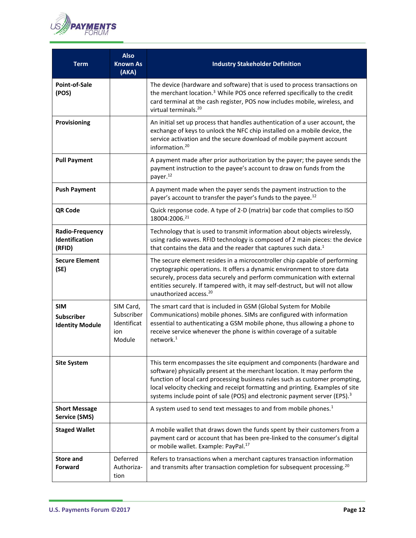

| Term                                                      | <b>Also</b><br><b>Known As</b><br>(AKA)                 | <b>Industry Stakeholder Definition</b>                                                                                                                                                                                                                                                                                                                                                                       |
|-----------------------------------------------------------|---------------------------------------------------------|--------------------------------------------------------------------------------------------------------------------------------------------------------------------------------------------------------------------------------------------------------------------------------------------------------------------------------------------------------------------------------------------------------------|
| Point-of-Sale<br>(POS)                                    |                                                         | The device (hardware and software) that is used to process transactions on<br>the merchant location. <sup>3</sup> While POS once referred specifically to the credit<br>card terminal at the cash register, POS now includes mobile, wireless, and<br>virtual terminals. <sup>20</sup>                                                                                                                       |
| Provisioning                                              |                                                         | An initial set up process that handles authentication of a user account, the<br>exchange of keys to unlock the NFC chip installed on a mobile device, the<br>service activation and the secure download of mobile payment account<br>information. <sup>20</sup>                                                                                                                                              |
| <b>Pull Payment</b>                                       |                                                         | A payment made after prior authorization by the payer; the payee sends the<br>payment instruction to the payee's account to draw on funds from the<br>payer. <sup>12</sup>                                                                                                                                                                                                                                   |
| <b>Push Payment</b>                                       |                                                         | A payment made when the payer sends the payment instruction to the<br>payer's account to transfer the payer's funds to the payee. <sup>12</sup>                                                                                                                                                                                                                                                              |
| QR Code                                                   |                                                         | Quick response code. A type of 2-D (matrix) bar code that complies to ISO<br>18004:2006.21                                                                                                                                                                                                                                                                                                                   |
| <b>Radio-Frequency</b><br><b>Identification</b><br>(RFID) |                                                         | Technology that is used to transmit information about objects wirelessly,<br>using radio waves. RFID technology is composed of 2 main pieces: the device<br>that contains the data and the reader that captures such data. <sup>1</sup>                                                                                                                                                                      |
| <b>Secure Element</b><br>(SE)                             |                                                         | The secure element resides in a microcontroller chip capable of performing<br>cryptographic operations. It offers a dynamic environment to store data<br>securely, process data securely and perform communication with external<br>entities securely. If tampered with, it may self-destruct, but will not allow<br>unauthorized access. <sup>20</sup>                                                      |
| <b>SIM</b><br><b>Subscriber</b><br><b>Identity Module</b> | SIM Card,<br>Subscriber<br>Identificat<br>ion<br>Module | The smart card that is included in GSM (Global System for Mobile<br>Communications) mobile phones. SIMs are configured with information<br>essential to authenticating a GSM mobile phone, thus allowing a phone to<br>receive service whenever the phone is within coverage of a suitable<br>network. <sup>1</sup>                                                                                          |
| <b>Site System</b>                                        |                                                         | This term encompasses the site equipment and components (hardware and<br>software) physically present at the merchant location. It may perform the<br>function of local card processing business rules such as customer prompting,<br>local velocity checking and receipt formatting and printing. Examples of site<br>systems include point of sale (POS) and electronic payment server (EPS). <sup>3</sup> |
| <b>Short Message</b><br><b>Service (SMS)</b>              |                                                         | A system used to send text messages to and from mobile phones. <sup>1</sup>                                                                                                                                                                                                                                                                                                                                  |
| <b>Staged Wallet</b>                                      |                                                         | A mobile wallet that draws down the funds spent by their customers from a<br>payment card or account that has been pre-linked to the consumer's digital<br>or mobile wallet. Example: PayPal. <sup>17</sup>                                                                                                                                                                                                  |
| <b>Store and</b><br>Forward                               | Deferred<br>Authoriza-<br>tion                          | Refers to transactions when a merchant captures transaction information<br>and transmits after transaction completion for subsequent processing. <sup>20</sup>                                                                                                                                                                                                                                               |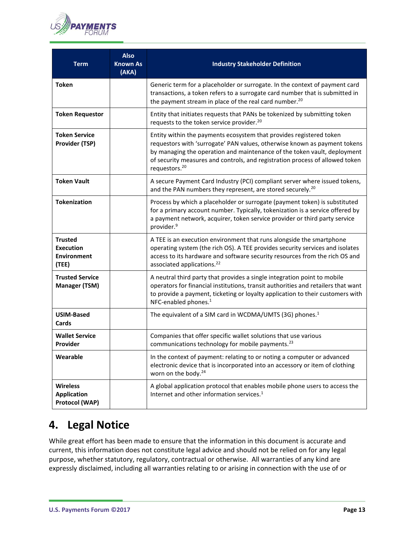

| <b>Term</b>                                                       | <b>Also</b><br><b>Known As</b><br>(AKA) | <b>Industry Stakeholder Definition</b>                                                                                                                                                                                                                                                                                                    |
|-------------------------------------------------------------------|-----------------------------------------|-------------------------------------------------------------------------------------------------------------------------------------------------------------------------------------------------------------------------------------------------------------------------------------------------------------------------------------------|
| <b>Token</b>                                                      |                                         | Generic term for a placeholder or surrogate. In the context of payment card<br>transactions, a token refers to a surrogate card number that is submitted in<br>the payment stream in place of the real card number. <sup>20</sup>                                                                                                         |
| <b>Token Requestor</b>                                            |                                         | Entity that initiates requests that PANs be tokenized by submitting token<br>requests to the token service provider. <sup>20</sup>                                                                                                                                                                                                        |
| <b>Token Service</b><br><b>Provider (TSP)</b>                     |                                         | Entity within the payments ecosystem that provides registered token<br>requestors with 'surrogate' PAN values, otherwise known as payment tokens<br>by managing the operation and maintenance of the token vault, deployment<br>of security measures and controls, and registration process of allowed token<br>requestors. <sup>20</sup> |
| <b>Token Vault</b>                                                |                                         | A secure Payment Card Industry (PCI) compliant server where issued tokens,<br>and the PAN numbers they represent, are stored securely. <sup>20</sup>                                                                                                                                                                                      |
| <b>Tokenization</b>                                               |                                         | Process by which a placeholder or surrogate (payment token) is substituted<br>for a primary account number. Typically, tokenization is a service offered by<br>a payment network, acquirer, token service provider or third party service<br>provider. <sup>9</sup>                                                                       |
| <b>Trusted</b><br><b>Execution</b><br><b>Environment</b><br>(TEE) |                                         | A TEE is an execution environment that runs alongside the smartphone<br>operating system (the rich OS). A TEE provides security services and isolates<br>access to its hardware and software security resources from the rich OS and<br>associated applications. <sup>22</sup>                                                            |
| <b>Trusted Service</b><br><b>Manager (TSM)</b>                    |                                         | A neutral third party that provides a single integration point to mobile<br>operators for financial institutions, transit authorities and retailers that want<br>to provide a payment, ticketing or loyalty application to their customers with<br>NFC-enabled phones. <sup>1</sup>                                                       |
| <b>USIM-Based</b><br>Cards                                        |                                         | The equivalent of a SIM card in WCDMA/UMTS (3G) phones. <sup>1</sup>                                                                                                                                                                                                                                                                      |
| <b>Wallet Service</b><br>Provider                                 |                                         | Companies that offer specific wallet solutions that use various<br>communications technology for mobile payments. <sup>23</sup>                                                                                                                                                                                                           |
| Wearable                                                          |                                         | In the context of payment: relating to or noting a computer or advanced<br>electronic device that is incorporated into an accessory or item of clothing<br>worn on the body. <sup>24</sup>                                                                                                                                                |
| <b>Wireless</b><br><b>Application</b><br>Protocol (WAP)           |                                         | A global application protocol that enables mobile phone users to access the<br>Internet and other information services. <sup>1</sup>                                                                                                                                                                                                      |

# <span id="page-12-0"></span>**4. Legal Notice**

While great effort has been made to ensure that the information in this document is accurate and current, this information does not constitute legal advice and should not be relied on for any legal purpose, whether statutory, regulatory, contractual or otherwise. All warranties of any kind are expressly disclaimed, including all warranties relating to or arising in connection with the use of or